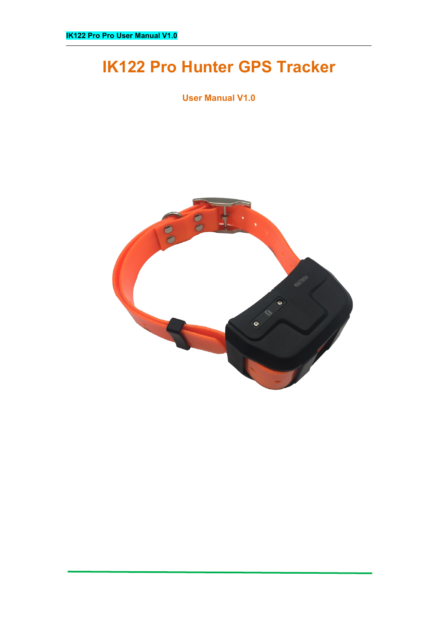# **IK122 Pro Hunter GPS Tracker**

**User Manual V1.0**

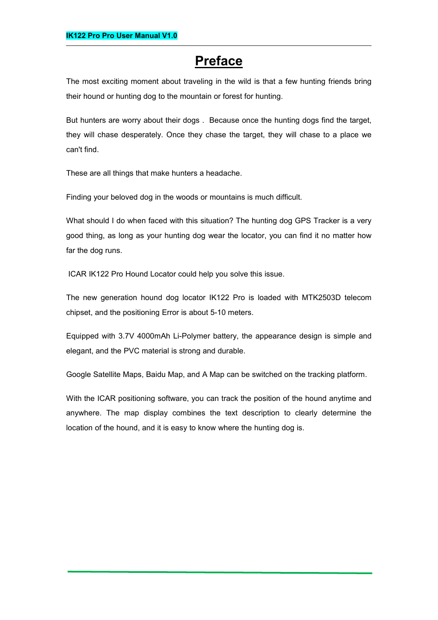# **Preface**

The most exciting moment about traveling in the wild is that a few hunting friends bring their hound or hunting dog to the mountain or forest for hunting.

But hunters are worry about their dogs . Because once the hunting dogs find the target, they will chase desperately. Once they chase the target, they will chase to a place we can't find.

These are all things that make hunters a headache.

Finding your beloved dog in the woods or mountains is much difficult.

What should I do when faced with this situation? The hunting dog GPS Tracker is a very good thing, as long as your hunting dog wear the locator, you can find it no matter how far the dog runs.

ICAR IK122 Pro Hound Locator could help you solve this issue.

The new generation hound dog locator IK122 Pro is loaded with MTK2503D telecom chipset, and the positioning Error is about 5-10 meters.

Equipped with 3.7V 4000mAh Li-Polymer battery, the appearance design is simple and elegant, and the PVC material is strong and durable.

Google Satellite Maps, Baidu Map, and A Map can be switched on the tracking platform.

With the ICAR positioning software, you can track the position of the hound anytime and anywhere. The map display combines the text description to clearly determine the location of the hound, and it is easy to know where the hunting dog is.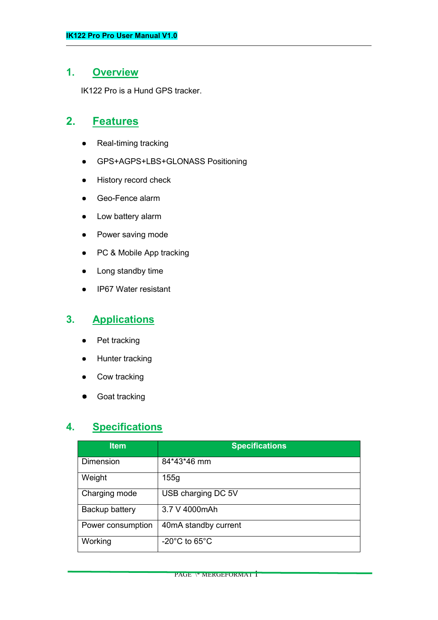## **1. Overview**

IK122 Pro is a Hund GPS tracker.

# **2. Features**

- Real-timing tracking
- GPS+AGPS+LBS+GLONASS Positioning
- History record check
- Geo-Fence alarm
- Low battery alarm
- Power saving mode
- PC & Mobile App tracking
- Long standby time
- IP67 Water resistant

# **3. Applications**

- Pet tracking
- Hunter tracking
- Cow tracking
- Goat tracking

# **4. Specifications**

| <b>Item</b>       | <b>Specifications</b>              |  |
|-------------------|------------------------------------|--|
| Dimension         | 84*43*46 mm                        |  |
| Weight            | 155g                               |  |
| Charging mode     | USB charging DC 5V                 |  |
| Backup battery    | 3.7 V 4000mAh                      |  |
| Power consumption | 40mA standby current               |  |
| Working           | $-20^{\circ}$ C to 65 $^{\circ}$ C |  |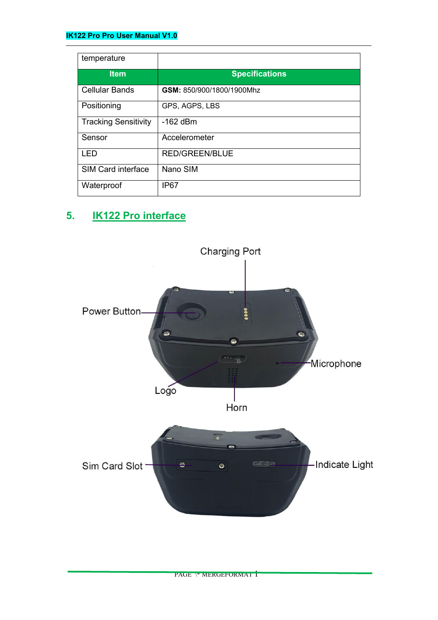## **IK122 Pro Pro User Manual V1.0**

| temperature                 |                           |
|-----------------------------|---------------------------|
| <b>Item</b>                 | <b>Specifications</b>     |
| <b>Cellular Bands</b>       | GSM: 850/900/1800/1900Mhz |
| Positioning                 | GPS, AGPS, LBS            |
| <b>Tracking Sensitivity</b> | $-162$ dBm                |
| Sensor                      | Accelerometer             |
| <b>LED</b>                  | <b>RED/GREEN/BLUE</b>     |
| <b>SIM Card interface</b>   | Nano SIM                  |
| Waterproof                  | IP67                      |

# **5. IK122 Pro interface**



PAGE \\* MERGEFORMAT 1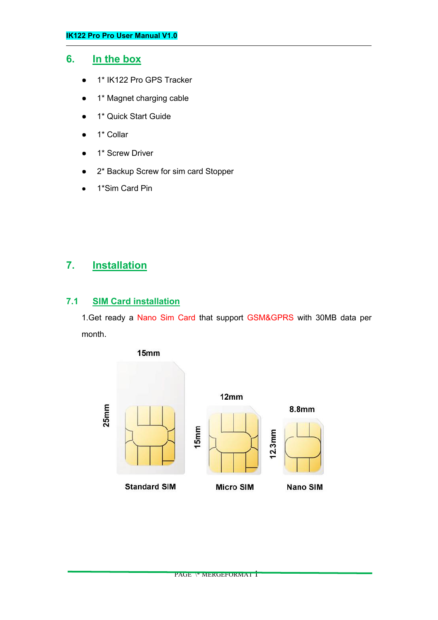## **6. In the box**

- 1<sup>\*</sup> IK122 Pro GPS Tracker
- 1<sup>\*</sup> Magnet charging cable
- 1\* Quick Start Guide
- 1<sup>\*</sup> Collar
- 1<sup>\*</sup> Screw Driver
- 2\* Backup Screw for sim card Stopper
- 1\*Sim Card Pin

# **7. Installation**

## **7.1 SIM Card installation**

1.Get ready a Nano Sim Card that support GSM&GPRS with 30MB data per month.

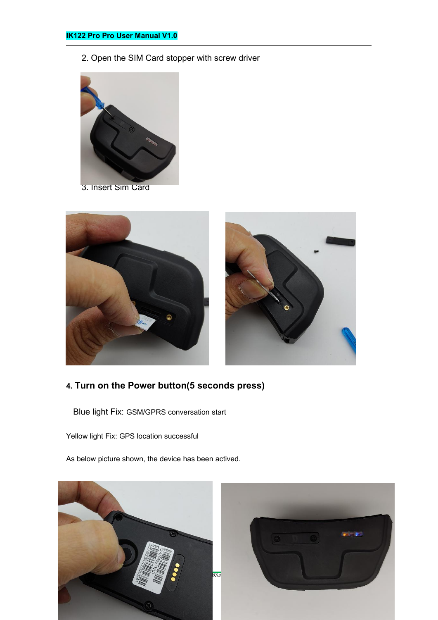2. Open the SIM Card stopper with screw driver





# **4. Turn on the Power button(5 seconds press)**

Blue light Fix: GSM/GPRS conversation start

Yellow light Fix: GPS location successful

As below picture shown, the device has been actived.

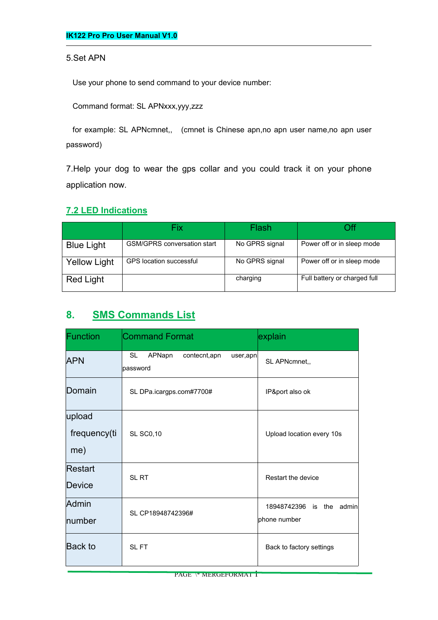#### 5.Set APN

Use your phone to send command to your device number:

Command format: SL APNxxx,yyy,zzz

for example: SL APNcmnet,, (cmnet is Chinese apn,no apn user name,no apn user password)

7.Help your dog to wear the gps collar and you could track it on your phone application now.

## **7.2 LED Indications**

|                     | Fix                                | Flash          | Off                          |
|---------------------|------------------------------------|----------------|------------------------------|
| <b>Blue Light</b>   | <b>GSM/GPRS conversation start</b> | No GPRS signal | Power off or in sleep mode   |
| <b>Yellow Light</b> | <b>GPS</b> location successful     | No GPRS signal | Power off or in sleep mode   |
| <b>Red Light</b>    |                                    | charging       | Full battery or charged full |

# **8. SMS Commands List**

| Function                      | <b>Command Format</b>                                 | explain                                  |
|-------------------------------|-------------------------------------------------------|------------------------------------------|
| <b>APN</b>                    | APNapn<br>contecnt, apn<br>SL<br>user,apn<br>password | SL APNcmnet,,                            |
| Domain                        | SL DPa.icargps.com#7700#                              | IP&port also ok                          |
| upload<br>frequency(ti<br>me) | <b>SL SC0,10</b>                                      | Upload location every 10s                |
| Restart<br>Device             | SL RT                                                 | Restart the device                       |
| Admin<br>number               | SL CP18948742396#                                     | 18948742396 is the admin<br>phone number |
| Back to                       | SL FT                                                 | Back to factory settings                 |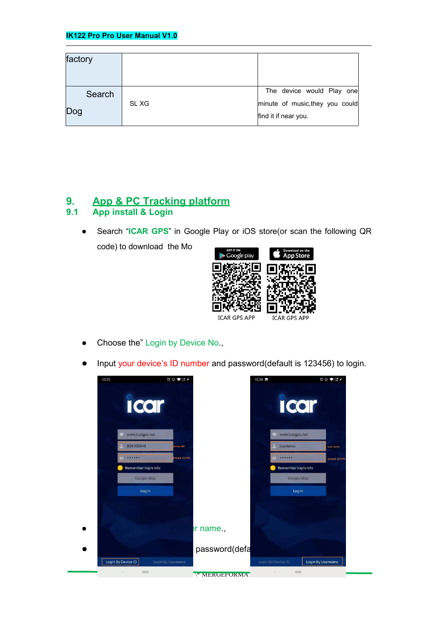| factory       |       |                                                                                      |
|---------------|-------|--------------------------------------------------------------------------------------|
| Search<br>Dog | SL XG | The device would Play one<br>minute of music, they you could<br>find it if near you. |

# **9. App & PC Tracking platform**

# **9.1 App install & Login**

● Search "**ICAR GPS**" in Google Play or iOS store(or scan the following QR



- Choose the" Login by Device No.,
- Input your device's ID number and password(default is 123456) to login.

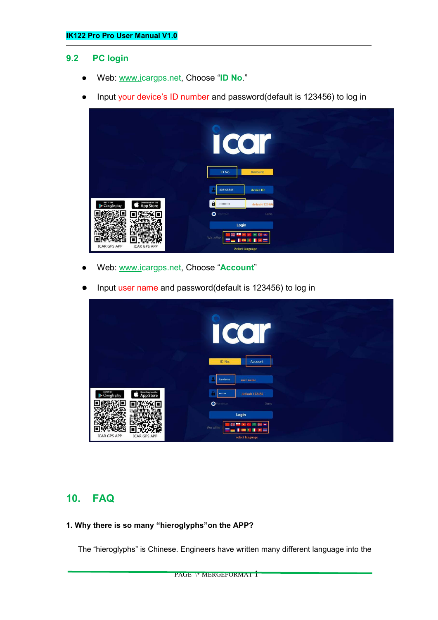#### **9.2 PC login**

- Web: [www.ic](http://www.trackits.com)argps.net, Choose "**ID No**."
- Input your device's ID number and password(default is 123456) to log in



- Web: [www.ic](http://www.trackits.com)argps.net, Choose "Account"
- Input user name and password(default is 123456) to log in

|                                                          | $\bullet$<br>$\left( \bullet \right)$         |
|----------------------------------------------------------|-----------------------------------------------|
|                                                          | ID No.<br>Account                             |
|                                                          | icardemo<br>user name                         |
| SET IT ON<br>Google play<br>Download on the<br>App Store | default 123456<br>                            |
|                                                          | $\bullet$<br>emember<br>Demo                  |
|                                                          | Login                                         |
| <b>ICAR GPS APP</b><br><b>ICAR GPS APP</b>               | We offer<br>$\overline{a}$<br>select language |

# **10. FAQ**

#### **1. Why there is so many "hieroglyphs"on the APP?**

The "hieroglyphs" is Chinese. Engineers have written many different language into the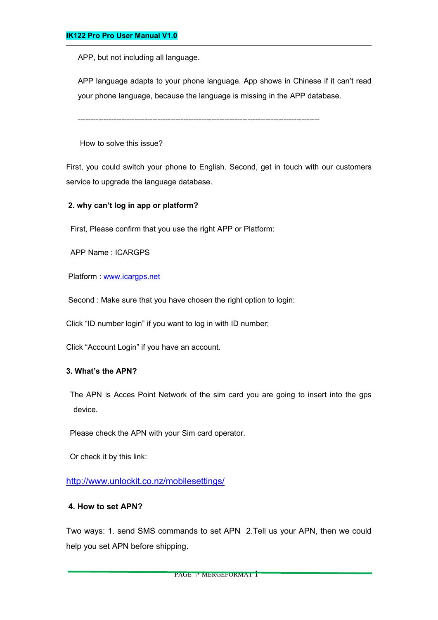APP, but not including all language.

APP language adapts to your phone language. App shows in Chinese if it can't read your phone language, because the language is missing in the APP database.

----------------------------------------------------------------------------------------------

How to solve this issue?

First, you could switch your phone to English. Second, get in touch with our customers service to upgrade the language database.

#### **2. why can't log in app or platform?**

First, Please confirm that you use the right APP or Platform:

APP Name : ICARGPS

Platform : [www.icargps.net](http://www.icargps.net)

Second : Make sure that you have chosen the right option to login:

Click "ID number login" if you want to log in with ID number;

Click "Account Login" if you have an account.

#### **3. What's the APN?**

The APN is Acces Point Network of the sim card you are going to insert into the gps device.

Please check the APN with your Sim card operator.

Or check it by this link:

<http://www.unlockit.co.nz/mobilesettings/>

#### **4. How to set APN?**

Two ways: 1. send SMS commands to set APN 2.Tell us your APN, then we could help you set APN before shipping.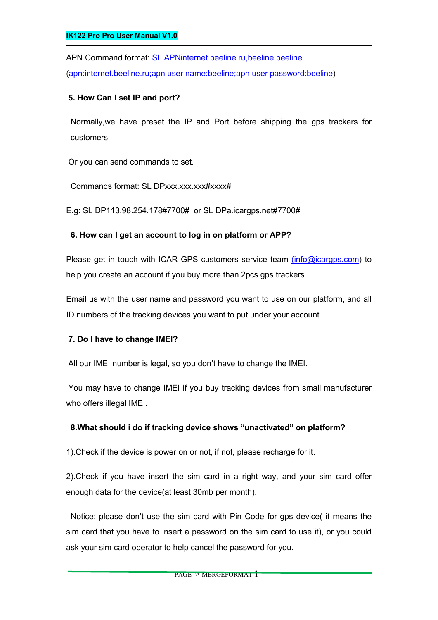APN Command format: SL APNinternet.beeline.ru,beeline,beeline (apn:internet.beeline.ru;apn user name:beeline;apn user password:beeline)

### **5. How Can I set IP and port?**

Normally,we have preset the IP and Port before shipping the gps trackers for customers.

Or you can send commands to set.

Commands format: SL DPxxx.xxx.xxx#xxxx#

E.g: SL DP113.98.254.178#7700# or SL DPa.icargps.net#7700#

## **6. How can I get an account to log in on platform or APP?**

Please get in touch with ICAR GPS customers service team (info@icargps.com) to help you create an account if you buy more than 2pcs gps trackers.

Email us with the user name and password you want to use on our platform, and all ID numbers of the tracking devices you want to put under your account.

#### **7. Do I have to change IMEI?**

All our IMEI number is legal, so you don't have to change the IMEI.

You may have to change IMEI if you buy tracking devices from small manufacturer who offers illegal IMEI.

## **8.What should i do if tracking device shows "unactivated" on platform?**

1).Check if the device is power on or not, if not, please recharge for it.<br>2).Check if you have insert the sim card in a right way, and your sim card offer

enough data for the device(at least 30mb per month).<br>Notice: please don't use the sim card with Pin Code for gps device( it means the sim card that you have to insert a password on the sim card to use it), or you could ask your sim card operator to help cancel the password for you.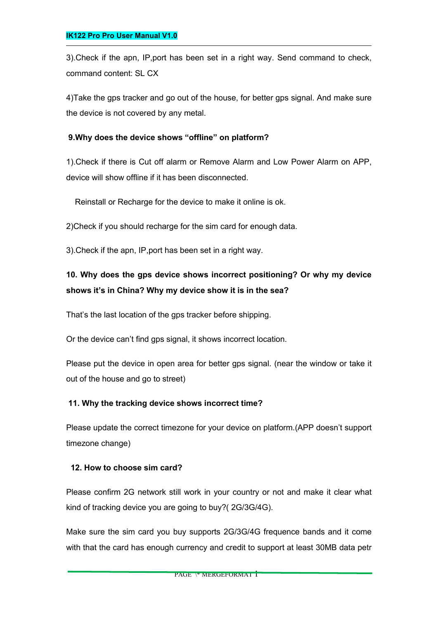3).Check if the apn, IP,port has been set in a right way. Send command to check, command content: SL CX

4)Take the gps tracker and go out of the house, for better gps signal. And make sure the device is not covered by any metal.

### **9.Why does the device shows "offline" on platform?**

1). Check if there is Cut off alarm or Remove Alarm and Low Power Alarm on APP, device will show offline if it has been disconnected.

Reinstall or Recharge for the device to make it online is ok.

2)Check if you should recharge for the sim card for enough data.

3).Check if the apn, IP,port has been set in a right way.

# **10. Why does the gps device shows incorrect positioning? Or why my device shows it's in China? Why my device show it is inthe sea?**

That's the last location of the gps tracker before shipping.

Or the device can't find gps signal, it shows incorrect location.

Please put the device in open area for better gps signal. (near the window or take it out of the house and go to street)

#### **11. Why the tracking device shows incorrect time?**

Please update the correct timezone for your device on platform.(APP doesn't support timezone change)

#### **12. How to choose sim card?**

Please confirm 2G network still work in your country or not and make it clear what kind of tracking device you are going to buy?( 2G/3G/4G).

Make sure the sim card you buy supports 2G/3G/4G frequence bands and it come with that the card has enough currency and credit to support at least 30MB data petr